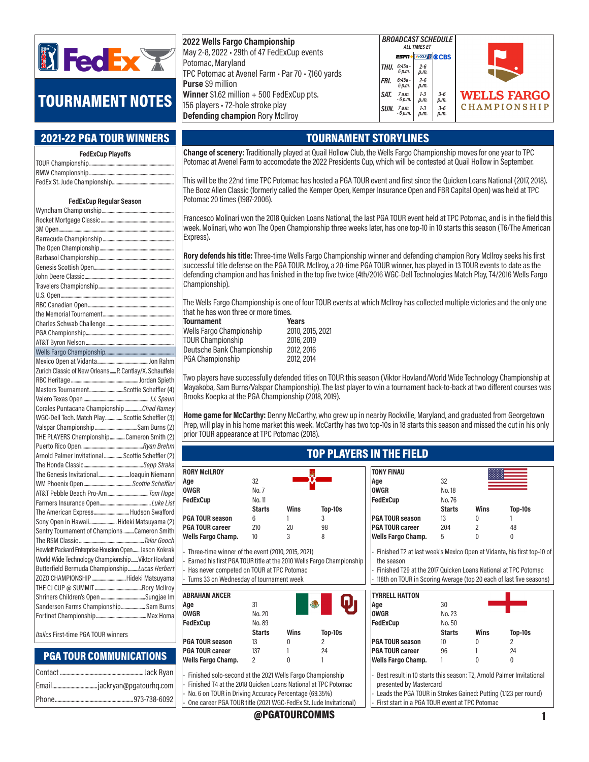

# TOURNAMENT NOTES

#### 2021-22 PGA TOUR WINNERS

| <b>FedExCup Playoffs</b> |  |  |  |
|--------------------------|--|--|--|
|                          |  |  |  |
|                          |  |  |  |
|                          |  |  |  |

#### FedExCup Regular Season

| Zurich Classic of New Orleans P. Cantlay/X. Schauffele |
|--------------------------------------------------------|
|                                                        |
| Masters TournamentScottie Scheffler (4)                |
|                                                        |
| Corales Puntacana ChampionshipChad Ramey               |
| WGC-Dell Tech. Match Play  Scottie Scheffler (3)       |
|                                                        |
| THE PLAYERS Championship Cameron Smith (2)             |
|                                                        |
| Arnold Palmer Invitational  Scottie Scheffler (2)      |
|                                                        |
| The Genesis InvitationalJoaquin Niemann                |
|                                                        |
|                                                        |
|                                                        |
| The American Express Hudson Swafford                   |
| Sony Open in Hawaii Hideki Matsuyama (2)               |
| Sentry Tournament of Champions Cameron Smith           |
|                                                        |
| Hewlett Packard Enterprise Houston Open Jason Kokrak   |
| World Wide Technology Championship Viktor Hovland      |
| Butterfield Bermuda ChampionshipLucas Herbert          |
| ZOZO CHAMPIONSHIPHideki Matsuyama                      |
|                                                        |
|                                                        |
| Sanderson Farms Championship Sam Burns                 |
|                                                        |
|                                                        |

Italics First-time PGA TOUR winners

#### PGA TOUR COMMUNICATIONS

| 2022 Wells Fargo Championship                                               |      | <b>BROADCA</b><br><b>ALL</b> |
|-----------------------------------------------------------------------------|------|------------------------------|
| May 2-8, 2022 - 29th of 47 FedExCup events                                  |      | <b>ESPA</b>                  |
| Potomac, Maryland<br>TPC Potomac at Avenel Farm · Par 70 · 7,160 yards      | THU. | $6:45a -$<br>6 p.m.          |
| <b>Purse</b> \$9 million                                                    | FRI. | $6:45a -$<br>6 p.m.          |
| Winner \$1.62 million + 500 FedExCup pts.                                   | SAT. | 7 a.m.<br>$-6$ p.m.          |
| 156 players - 72-hole stroke play<br><b>Defending champion Rory McIlroy</b> | SUN. | 7 a.m.<br>- 6 p.m.           |



#### TOURNAMENT STORYLINES

Change of scenery: Traditionally played at Quail Hollow Club, the Wells Fargo Championship moves for one year to TPC Potomac at Avenel Farm to accomodate the 2022 Presidents Cup, which will be contested at Quail Hollow in September.

This will be the 22nd time TPC Potomac has hosted a PGA TOUR event and first since the Quicken Loans National (2017, 2018). The Booz Allen Classic (formerly called the Kemper Open, Kemper Insurance Open and FBR Capital Open) was held at TPC Potomac 20 times (1987-2006).

Francesco Molinari won the 2018 Quicken Loans National, the last PGA TOUR event held at TPC Potomac, and is in the field this week. Molinari, who won The Open Championship three weeks later, has one top-10 in 10 starts this season (T6/The American Express).

Rory defends his title: Three-time Wells Fargo Championship winner and defending champion Rory McIlroy seeks his first successful title defense on the PGA TOUR. McIlroy, a 20-time PGA TOUR winner, has played in 13 TOUR events to date as the defending champion and has finished in the top five twice (4th/2016 WGC-Dell Technologies Match Play, T4/2016 Wells Fargo Championship).

The Wells Fargo Championship is one of four TOUR events at which McIlroy has collected multiple victories and the only one that he has won three or more times.

| Tournament                      | <b>Years</b>     |
|---------------------------------|------------------|
| <b>Wells Fargo Championship</b> | 2010, 2015, 2021 |
| <b>TOUR Championship</b>        | 2016, 2019       |
| Deutsche Bank Championship      | 2012, 2016       |
| PGA Championship                | 2012, 2014       |
|                                 |                  |

Two players have successfully defended titles on TOUR this season (Viktor Hovland/World Wide Technology Championship at Mayakoba, Sam Burns/Valspar Championship). The last player to win a tournament back-to-back at two different courses was Brooks Koepka at the PGA Championship (2018, 2019).

Home game for McCarthy: Denny McCarthy, who grew up in nearby Rockville, Maryland, and graduated from Georgetown Prep, will play in his home market this week. McCarthy has two top-10s in 18 starts this season and missed the cut in his only prior TOUR appearance at TPC Potomac (2018).

### TOP PLAYERS IN THE FIELD

TONY FINAU

| <b>RORY McILROY</b>    |               |      |         |
|------------------------|---------------|------|---------|
| Aqe                    | 32            |      |         |
| 0WGR                   | No. 7         |      |         |
| FedExCup               | No. 11        |      |         |
|                        | <b>Starts</b> | Wins | Top-10s |
| <b>PGA TOUR season</b> | 6             |      | 3       |
| PGA TOUR career        | 210           | 20   | 98      |
| Wells Fargo Champ.     | 10            | 3    | 8       |

- Three-time winner of the event (2010, 2015, 2021) Earned his first PGA TOUR title at the 2010 Wells Fargo Championship

Has never competed on TOUR at TPC Potomac Turns 33 on Wednesday of tournament week

| <b>ABRAHAM ANCER</b><br>Aqe | 31            |      | دعا     |
|-----------------------------|---------------|------|---------|
| 0WGR                        | No. 20        |      |         |
| FedExCup                    | No. 89        |      |         |
|                             | <b>Starts</b> | Wins | Top-10s |
| PGA TOUR season             | 13            | U    | 2       |
| PGA TOUR career             | 137           |      | 24      |
| Wells Fargo Champ.          | 2             |      |         |
|                             |               |      |         |

- Finished solo-second at the 2021 Wells Fargo Championship - Finished T4 at the 2018 Quicken Loans National at TPC Potomac No. 6 on TOUR in Driving Accuracy Percentage (69.35%) - One career PGA TOUR title (2021 WGC-FedEx St. Jude Invitational)

| Age                                                                                                                                                        | 32                                                                  |             |         |  |  |  |  |  |  |
|------------------------------------------------------------------------------------------------------------------------------------------------------------|---------------------------------------------------------------------|-------------|---------|--|--|--|--|--|--|
| OWGR                                                                                                                                                       | No. 18                                                              |             |         |  |  |  |  |  |  |
| <b>FedExCup</b>                                                                                                                                            | No. 76                                                              |             |         |  |  |  |  |  |  |
|                                                                                                                                                            | <b>Starts</b>                                                       | Wins        | Top-10s |  |  |  |  |  |  |
| <b>PGA TOUR season</b>                                                                                                                                     | 13 <sup>°</sup>                                                     | U           |         |  |  |  |  |  |  |
| <b>PGA TOUR career</b>                                                                                                                                     | 204                                                                 | 2           | 48      |  |  |  |  |  |  |
| Wells Fargo Champ.                                                                                                                                         | 5                                                                   | U           | 0       |  |  |  |  |  |  |
| - Finished T2 at last week's Mexico Open at Vidanta, his first top-10 of<br>the season<br>- Finished T29 at the 2017 Quicken Loans National at TPC Potomac |                                                                     |             |         |  |  |  |  |  |  |
|                                                                                                                                                            |                                                                     |             |         |  |  |  |  |  |  |
|                                                                                                                                                            | 118th on TOUR in Scoring Average (top 20 each of last five seasons) |             |         |  |  |  |  |  |  |
|                                                                                                                                                            |                                                                     |             |         |  |  |  |  |  |  |
|                                                                                                                                                            |                                                                     |             |         |  |  |  |  |  |  |
|                                                                                                                                                            | 30                                                                  |             |         |  |  |  |  |  |  |
|                                                                                                                                                            | No. 23                                                              |             |         |  |  |  |  |  |  |
|                                                                                                                                                            | No. 50                                                              |             |         |  |  |  |  |  |  |
|                                                                                                                                                            | <b>Starts</b>                                                       | <b>Wins</b> | Top-10s |  |  |  |  |  |  |
|                                                                                                                                                            | 10 <sup>10</sup>                                                    | 0           | 2       |  |  |  |  |  |  |
|                                                                                                                                                            | 96                                                                  |             | 24      |  |  |  |  |  |  |
| <b>TYRRELL HATTON</b><br>Aqe<br><b>OWGR</b><br><b>FedExCup</b><br><b>PGA TOUR season</b><br><b>PGA TOUR career</b><br>Wells Fargo Champ.                   | 1                                                                   |             | U       |  |  |  |  |  |  |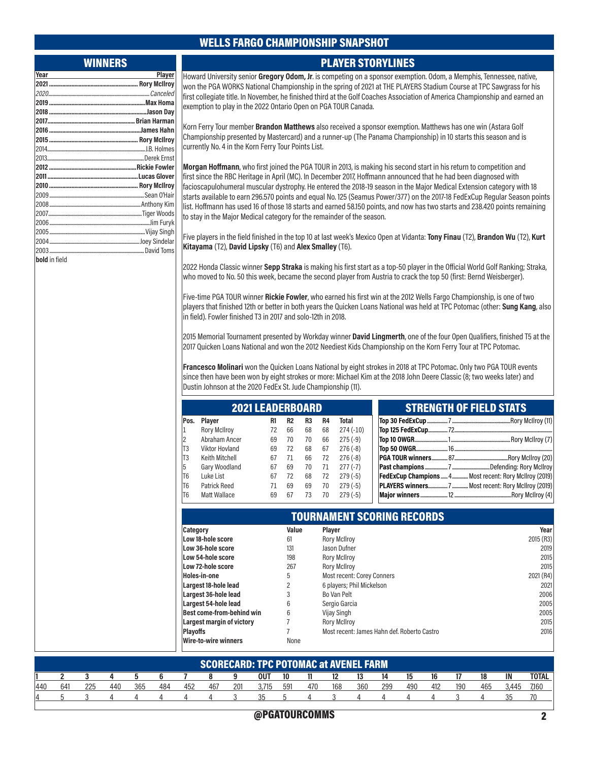#### WELLS FARGO CHAMPIONSHIP SNAPSHOT

#### WINNERS

| Year          | Player |
|---------------|--------|
|               |        |
|               |        |
|               |        |
|               |        |
|               |        |
|               |        |
|               |        |
|               |        |
|               |        |
|               |        |
|               |        |
|               |        |
|               |        |
|               |        |
|               |        |
|               |        |
|               |        |
|               |        |
|               |        |
| bold in field |        |

Howard University senior Gregory Odom, Jr. is competing on a sponsor exemption. Odom, a Memphis, Tennessee, native, won the PGA WORKS National Championship in the spring of 2021 at THE PLAYERS Stadium Course at TPC Sawgrass for his first collegiate title. In November, he finished third at the Golf Coaches Association of America Championship and earned an exemption to play in the 2022 Ontario Open on PGA TOUR Canada.

PLAYER STORYLINES

Korn Ferry Tour member Brandon Matthews also received a sponsor exemption. Matthews has one win (Astara Golf Championship presented by Mastercard) and a runner-up (The Panama Championship) in 10 starts this season and is currently No. 4 in the Korn Ferry Tour Points List.

Morgan Hoffmann, who first joined the PGA TOUR in 2013, is making his second start in his return to competition and first since the RBC Heritage in April (MC). In December 2017, Hoffmann announced that he had been diagnosed with facioscapulohumeral muscular dystrophy. He entered the 2018-19 season in the Major Medical Extension category with 18 starts available to earn 296.570 points and equal No. 125 (Seamus Power/377) on the 2017-18 FedExCup Regular Season points list. Hoffmann has used 16 of those 18 starts and earned 58.150 points, and now has two starts and 238.420 points remaining to stay in the Major Medical category for the remainder of the season.

Five players in the field finished in the top 10 at last week's Mexico Open at Vidanta: Tony Finau (T2), Brandon Wu (T2), Kurt Kitayama (T2), David Lipsky (T6) and Alex Smalley (T6).

2022 Honda Classic winner Sepp Straka is making his first start as a top-50 player in the Official World Golf Ranking; Straka, who moved to No. 50 this week, became the second player from Austria to crack the top 50 (first: Bernd Weisberger).

Five-time PGA TOUR winner Rickie Fowler, who earned his first win at the 2012 Wells Fargo Championship, is one of two players that finished 12th or better in both years the Quicken Loans National was held at TPC Potomac (other: Sung Kang, also in field). Fowler finished T3 in 2017 and solo-12th in 2018.

2015 Memorial Tournament presented by Workday winner David Lingmerth, one of the four Open Qualifiers, finished T5 at the 2017 Quicken Loans National and won the 2012 Neediest Kids Championship on the Korn Ferry Tour at TPC Potomac.

Francesco Molinari won the Quicken Loans National by eight strokes in 2018 at TPC Potomac. Only two PGA TOUR events since then have been won by eight strokes or more: Michael Kim at the 2018 John Deere Classic (8; two weeks later) and Dustin Johnson at the 2020 FedEx St. Jude Championship (11).

| <b>2021 LEADERBOARD</b> |                     |    |    |                |           |            |
|-------------------------|---------------------|----|----|----------------|-----------|------------|
| Pos.                    | Player              | R1 | R2 | R <sub>3</sub> | <b>R4</b> | Total      |
| 1                       | <b>Rory McIlroy</b> | 72 | 66 | 68             | 68        | $274(-10)$ |
| 2                       | Abraham Ancer       | 69 | 70 | 70             | 66        | $275(-9)$  |
| T3                      | Viktor Hovland      | 69 | 72 | 68             | 67        | $276(-8)$  |
| T3                      | Keith Mitchell      | 67 | 71 | 66             | 72        | $276(-8)$  |
| 5                       | Gary Woodland       | 67 | 69 | 70             | 71        | $277(-7)$  |
| T6                      | Luke List           | 67 | 72 | 68             | 72        | $279(-5)$  |
| T <sub>6</sub>          | Patrick Reed        | 71 | 69 | 69             | 70        | $279(-5)$  |
| T <sub>6</sub>          | Matt Wallace        | 69 | 67 | 73             | 70        | $279(-5)$  |

|  | SINENUIN UF FIELD SIAIS                                 |
|--|---------------------------------------------------------|
|  |                                                         |
|  |                                                         |
|  |                                                         |
|  |                                                         |
|  |                                                         |
|  |                                                         |
|  | FedExCup Champions  4  Most recent: Rory McIlroy (2019) |
|  |                                                         |
|  |                                                         |
|  |                                                         |

STRENGTH OF FIELD STATS

|                                  |       | <b>TOURNAMENT SCORING RECORDS</b>           |           |
|----------------------------------|-------|---------------------------------------------|-----------|
| Category                         | Value | <b>Player</b>                               | Year      |
| Low 18-hole score                | 61    | <b>Rory McIlroy</b>                         | 2015 (R3) |
| Low 36-hole score                | 131   | Jason Dufner                                | 2019      |
| Low 54-hole score                | 198   | <b>Rory McIlroy</b>                         | 2015      |
| Low 72-hole score                | 267   | <b>Rory McIlroy</b>                         | 2015      |
| Holes-in-one                     | 5     | <b>Most recent: Corey Conners</b>           | 2021 (R4) |
| Largest 18-hole lead             | 2     | 6 players; Phil Mickelson                   | 2021      |
| Largest 36-hole lead             | 3     | Bo Van Pelt                                 | 2006      |
| Largest 54-hole lead             | 6     | Sergio Garcia                               | 2005      |
| <b>Best come-from-behind win</b> | 6     | Vijay Singh                                 | 2005      |
| <b>Largest margin of victory</b> |       | <b>Rory McIlroy</b>                         | 2015      |
| <b>Playoffs</b>                  |       | Most recent: James Hahn def. Roberto Castro | 2016      |
| <b>Wire-to-wire winners</b>      | None  |                                             |           |

|     | <b>SCORECARD: TPC POTOMAC at AVENEL FARM</b> |     |     |     |     |     |     |     |            |     |     |     |     |     |     |     |     |     |       |              |
|-----|----------------------------------------------|-----|-----|-----|-----|-----|-----|-----|------------|-----|-----|-----|-----|-----|-----|-----|-----|-----|-------|--------------|
|     |                                              |     |     |     |     |     |     |     | <b>OUT</b> | 10  |     |     | 13  | 14  | 15  | 16  |     | 18  | IN    | <b>TOTAL</b> |
| 440 | 641                                          | 225 | 440 | 365 | 484 | 452 | 467 | 201 | 3.715      | 591 | 470 | 168 | 360 | 299 | 490 | 412 | 190 | 465 | 3.445 | 7.160        |
|     |                                              |     |     |     |     |     |     |     |            |     |     |     |     |     |     |     |     |     |       |              |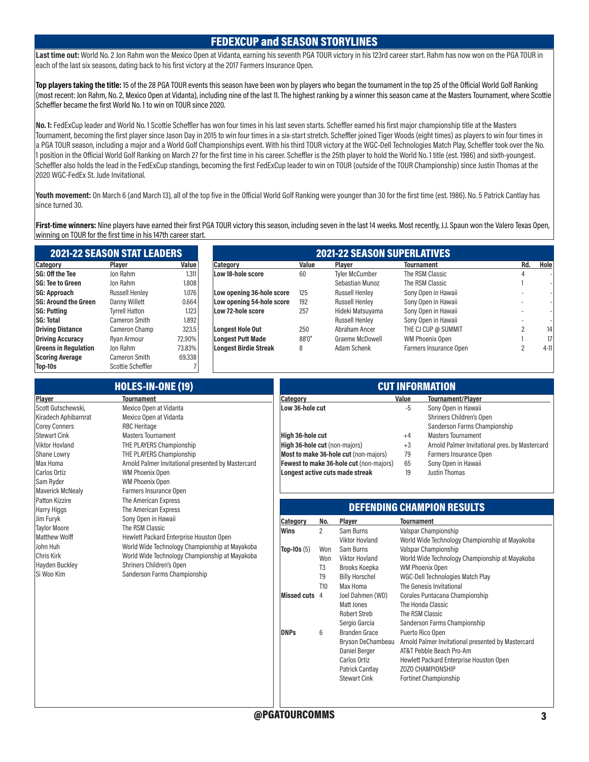#### FEDEXCUP and SEASON STORYLINES

Last time out: World No. 2 Jon Rahm won the Mexico Open at Vidanta, earning his seventh PGA TOUR victory in his 123rd career start. Rahm has now won on the PGA TOUR in each of the last six seasons, dating back to his first victory at the 2017 Farmers Insurance Open.

Top players taking the title: 15 of the 28 PGA TOUR events this season have been won by players who began the tournament in the top 25 of the Official World Golf Ranking (most recent: Jon Rahm, No. 2, Mexico Open at Vidanta), including nine of the last 11. The highest ranking by a winner this season came at the Masters Tournament, where Scottie Scheffler became the first World No. 1 to win on TOUR since 2020.

No. 1: FedExCup leader and World No. 1 Scottie Scheffler has won four times in his last seven starts. Scheffler earned his first major championship title at the Masters Tournament, becoming the first player since Jason Day in 2015 to win four times in a six-start stretch. Scheffler joined Tiger Woods (eight times) as players to win four times in a PGA TOUR season, including a major and a World Golf Championships event. With his third TOUR victory at the WGC-Dell Technologies Match Play, Scheffler took over the No. 1 position in the Official World Golf Ranking on March 27 for the first time in his career. Scheffler is the 25th player to hold the World No. 1 title (est. 1986) and sixth-youngest. Scheffler also holds the lead in the FedExCup standings, becoming the first FedExCup leader to win on TOUR (outside of the TOUR Championship) since Justin Thomas at the 2020 WGC-FedEx St. Jude Invitational.

Youth movement: On March 6 (and March 13), all of the top five in the Official World Golf Ranking were younger than 30 for the first time (est. 1986). No. 5 Patrick Cantlay has since turned 30.

First-time winners: Nine players have earned their first PGA TOUR victory this season, including seven in the last 14 weeks. Most recently, J.J. Spaun won the Valero Texas Open, winning on TOUR for the first time in his 147th career start.

|                             | <b>2021-22 SEASON STAT LEADERS</b> |        | <b>2021-22 SEASON SUPERLATIVES</b> |       |                       |                        |     |                 |  |  |  |  |
|-----------------------------|------------------------------------|--------|------------------------------------|-------|-----------------------|------------------------|-----|-----------------|--|--|--|--|
| Category                    | Plaver                             | Value  | <b>Category</b>                    | Value | <b>Plaver</b>         | <b>Tournament</b>      | Rd. | Hole            |  |  |  |  |
| <b>SG: Off the Tee</b>      | Jon Rahm                           | 1.311  | Low 18-hole score                  | 60    | <b>Tyler McCumber</b> | The RSM Classic        |     |                 |  |  |  |  |
| <b>SG: Tee to Green</b>     | Jon Rahm                           | 1.808  |                                    |       | Sebastian Munoz       | The RSM Classic        |     |                 |  |  |  |  |
| SG: Approach                | <b>Russell Henley</b>              | 1.076  | Low opening 36-hole score          | 125   | <b>Russell Henley</b> | Sony Open in Hawaii    |     |                 |  |  |  |  |
| <b>SG: Around the Green</b> | Danny Willett                      | 0.664  | Low opening 54-hole score          | 192   | <b>Russell Henley</b> | Sony Open in Hawaii    |     |                 |  |  |  |  |
| <b>SG: Putting</b>          | Tvrrell Hatton                     | 1.123  | Low 72-hole score                  | 257   | Hideki Matsuyama      | Sony Open in Hawaii    |     |                 |  |  |  |  |
| <b>SG: Total</b>            | Cameron Smith                      | 1.892  |                                    |       | <b>Russell Henley</b> | Sony Open in Hawaii    |     |                 |  |  |  |  |
| <b>Driving Distance</b>     | Cameron Champ                      | 323.5  | <b>Longest Hole Out</b>            | 250   | Abraham Ancer         | THE CJ CUP @ SUMMIT    |     | 14              |  |  |  |  |
| <b>Driving Accuracy</b>     | Ryan Armour                        | 72,90% | <b>Longest Putt Made</b>           | 88'0" | Graeme McDowell       | WM Phoenix Open        |     | 17 <sup>1</sup> |  |  |  |  |
| <b>Greens in Regulation</b> | Jon Rahm                           | 73.83% | Longest Birdie Streak              | 8     | Adam Schenk           | Farmers Insurance Open |     | $4-11$          |  |  |  |  |
| <b>Scoring Average</b>      | Cameron Smith                      | 69.338 |                                    |       |                       |                        |     |                 |  |  |  |  |

Top-10s Scottie Scheffler 7

|                                                                    | <b>HOLES-IN-ONE (19)</b>                                                | <b>CUT INFORMATION</b>        |                |                                           |                   |                                                                                 |  |  |  |
|--------------------------------------------------------------------|-------------------------------------------------------------------------|-------------------------------|----------------|-------------------------------------------|-------------------|---------------------------------------------------------------------------------|--|--|--|
| Player                                                             | <b>Tournament</b>                                                       | Category                      |                |                                           | Value             | <b>Tournament/Player</b>                                                        |  |  |  |
| Scott Gutschewski,<br>Kiradech Aphibarnrat<br><b>Corey Conners</b> | Mexico Open at Vidanta<br>Mexico Open at Vidanta<br><b>RBC Heritage</b> | Low 36-hole cut               |                |                                           | -5                | Sony Open in Hawaii<br>Shriners Children's Open<br>Sanderson Farms Championship |  |  |  |
| Stewart Cink                                                       | <b>Masters Tournament</b>                                               | High 36-hole cut              |                |                                           | $+4$              | <b>Masters Tournament</b>                                                       |  |  |  |
| Viktor Hovland                                                     | THE PLAYERS Championship                                                | High 36-hole cut (non-majors) |                |                                           | $+3$              | Arnold Palmer Invitational pres. by Mastercard                                  |  |  |  |
| Shane Lowry                                                        | THE PLAYERS Championship                                                |                               |                | Most to make 36-hole cut (non-majors)     | 79                | Farmers Insurance Open                                                          |  |  |  |
| Max Homa                                                           | Arnold Palmer Invitational presented by Mastercard                      |                               |                | Fewest to make 36-hole cut (non-majors)   | 65                | Sony Open in Hawaii                                                             |  |  |  |
| Carlos Ortiz                                                       | <b>WM Phoenix Open</b>                                                  |                               |                | Longest active cuts made streak           | 19                | Justin Thomas                                                                   |  |  |  |
| Sam Ryder                                                          | <b>WM Phoenix Open</b>                                                  |                               |                |                                           |                   |                                                                                 |  |  |  |
| <b>Maverick McNealy</b>                                            | Farmers Insurance Open                                                  |                               |                |                                           |                   |                                                                                 |  |  |  |
| Patton Kizzire                                                     | The American Express                                                    |                               |                |                                           |                   |                                                                                 |  |  |  |
| <b>Harry Higgs</b>                                                 | The American Express                                                    |                               |                |                                           |                   | <b>DEFENDING CHAMPION RESULTS</b>                                               |  |  |  |
| Jim Furyk                                                          | Sony Open in Hawaii                                                     | Category                      | No.            | Player                                    | <b>Tournament</b> |                                                                                 |  |  |  |
| <b>Taylor Moore</b>                                                | The RSM Classic                                                         | Wins                          | $\overline{2}$ | Sam Burns                                 |                   | Valspar Championship                                                            |  |  |  |
| <b>Matthew Wolff</b>                                               | Hewlett Packard Enterprise Houston Open                                 |                               |                | <b>Viktor Hovland</b>                     |                   | World Wide Technology Championship at Mayakoba                                  |  |  |  |
| John Huh                                                           | World Wide Technology Championship at Mayakoba                          | <b>Top-10s</b> $(5)$          | Won            | Sam Burns                                 |                   | Valspar Championship                                                            |  |  |  |
| Chris Kirk                                                         | World Wide Technology Championship at Mayakoba                          |                               | Won            | <b>Viktor Hovland</b>                     |                   | World Wide Technology Championship at Mayakoba                                  |  |  |  |
| Hayden Buckley<br>Si Woo Kim                                       | Shriners Children's Open                                                |                               | T <sub>3</sub> | Brooks Koepka                             |                   | <b>WM Phoenix Open</b>                                                          |  |  |  |
|                                                                    | Sanderson Farms Championship                                            |                               | T <sub>9</sub> | <b>Billy Horschel</b>                     |                   | WGC-Dell Technologies Match Play                                                |  |  |  |
|                                                                    |                                                                         |                               | T10            | Max Homa                                  |                   | The Genesis Invitational                                                        |  |  |  |
|                                                                    |                                                                         | Missed cuts 4                 |                | Joel Dahmen (WD)                          |                   | Corales Puntacana Championship                                                  |  |  |  |
|                                                                    |                                                                         |                               |                | <b>Matt Jones</b>                         |                   | The Honda Classic                                                               |  |  |  |
|                                                                    |                                                                         |                               |                | <b>Robert Streb</b>                       |                   | The RSM Classic                                                                 |  |  |  |
|                                                                    |                                                                         |                               |                | Sergio Garcia                             |                   | Sanderson Farms Championship                                                    |  |  |  |
|                                                                    |                                                                         | <b>DNPs</b>                   | 6              | <b>Branden Grace</b><br>Bryson DeChambeau |                   | Puerto Rico Open<br>Arnold Palmer Invitational presented by Mastercard          |  |  |  |
|                                                                    |                                                                         |                               |                | <b>Daniel Berger</b>                      |                   | AT&T Pebble Beach Pro-Am                                                        |  |  |  |
|                                                                    |                                                                         |                               |                | Carlos Ortiz                              |                   | Hewlett Packard Enterprise Houston Open                                         |  |  |  |
|                                                                    |                                                                         |                               |                | Patrick Cantlay                           |                   | ZOZO CHAMPIONSHIP                                                               |  |  |  |
|                                                                    |                                                                         |                               |                | <b>Stewart Cink</b>                       |                   | <b>Fortinet Championship</b>                                                    |  |  |  |
|                                                                    |                                                                         |                               |                |                                           |                   |                                                                                 |  |  |  |
|                                                                    |                                                                         |                               |                |                                           |                   |                                                                                 |  |  |  |
|                                                                    |                                                                         |                               |                |                                           |                   |                                                                                 |  |  |  |